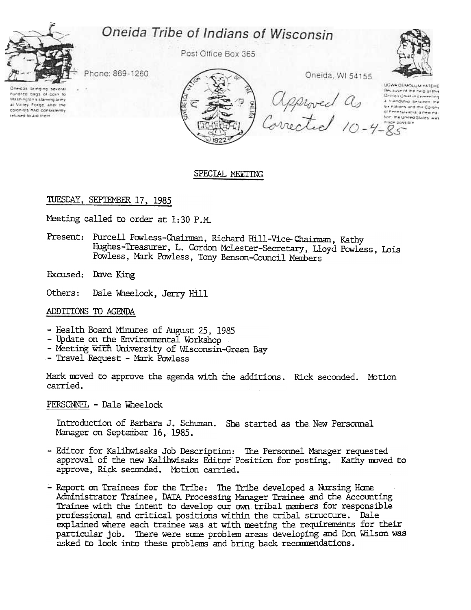# Oneida Tribe of Indians of Wisconsin



Post Office Box 365



Phone: 869-1260

Oneidas bringing nundred bags of corn to Washington's starving army at Valley Forge, after the colonists had consistently refused to aid them



# SPECIAL MEETING

# TUESDAY, SEPTEMBER 17, 1985

Meeting called to order at 1:30 P.M.

Present: Purcell Powless-Chairman, Richard Hill-Vice-Chairman, Kathy Hughes-Treasurer, L. Gordon McLester-Secretary, Lloyd Powless, Lois Powless, Mark Powless, Tony Benson-Council Members

Excused: Dave King

Others: Dale Wheelock, Jerry Hill

### ADDITIONS TO AGENDA

- Health Board Minutes of August 25, 1985
- Update on the Envirormental Workshop
- Meeting with University of Wisconsin-Green Bay
- Travel Request Mark Powless

Mark moved to approve the agenda with the additions. Rick seconded. Motic carried.

PERSONNEL - Dale Wheelock

Introduction of Barbara J. Schuman. She started as the New Personne Manager on September 16, 1985.

- Editor for Kalihwisaks Job Description: The Personnel Manager requested approval of the new Kalihwisaks Editor Position for posting. Kathy moved to approve, Rick seconded. l'btion carried.
- Report on Trainees for the Tribe: The Tribe developed a Nursing Home Administrator Trainee, DATA Processing Manager Trainee and the Accounting Trainee with the intent to develop our own tribal members for responsible professional and critical positions within the tribal structure. Dale explained where each trainee was at with meeting the requirements for their particular job. There were some problem areas developing and Don Wilson was asked to look into these problems and bring back recommendations.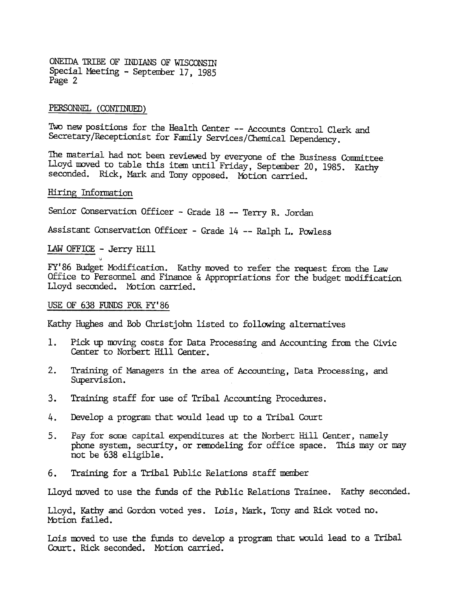ONEIDA TRIBE OF INDIANS OF WISCONSIN Special Meeting - September 17, 1985 Page 2

#### PERSONNEL (CONTINUED)

Two new positions for the Health Center -- Accounts Control Clerk and Secretary/Receptionist for Family Services/Chemical Dependency.

The material had not been reviewed by everyone of the Business Committee. Lloyd moved to table this item until Friday, September 20, 1985. Kathy seconded. Rick, Mark and Tony opposed. Motion carried.

# Hiring Information

Senior Conservation Officer - Grade 18 -- Terry R. Jordan

Assistant Conservation Officer - Grade 14 -- Ralph L. Powless

lAW OFFICE -Jerry Hill  $\lambda$ 

FY'86 Budget Modification. Kathy moved to refer the request from the Law Office to Personnel and Finance  $\&$  Appropriations for the budget modification Lloyd seconded. Motion carried.

### USE OF 638 FUNDS FOR FY'86

Kathy Hughes and Bob Christ john listed to following alternatives

- 1. Pick up moving costs for Data Processing and Accounting from the Civic Center to Norbert Hill Center.
- $2.$ Training of Managers in the area of Accounting, Data Processing, and Supervision.
- 
- 4. Develop a program that would lead up to a Tribal Court
- 3. Training staff for use of Tribal Accounting Procedures.<br>4. Develop a program that would lead up to a Tribal Court<br>5. Pay for some capital expenditures at the Norbert Hill (phone system, security, or remodeling for offic Pay for some capital expenditures at the Norbert Hill Center, namely phone system, security, or remodeling for office space. This may or may not be 638 eligible. 5.
	-

Lloyd moved to use the funds of the Public Relations Trainee. Kathy seconded.

6. Training for a Tribal Public Relations staff member<br>Lloyd moved to use the funds of the Public Relations Train<br>Lloyd, Kathy and Gordon voted yes. Lois, Mark, Tony and<br>Motion failed.<br>Lois moved to use the funds to develo Lloyd, Kathy and Gordon voted yes. Lois, Mark, Tony and Rick voted no. Motion failed.

Lois moved to use the funds to develop a program that would lead to a Tribal Court. Rick seconded. Motion carried.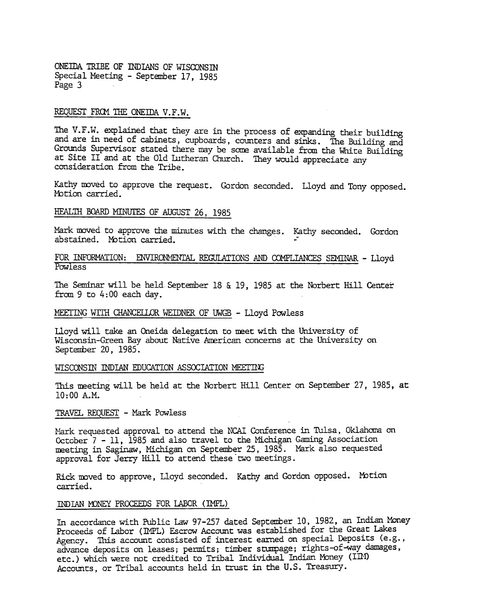ONEIDA TRIBE OF INDIANS OF WISCONSIN Special Meeting - September 17, 1985 Page 3

### REQUEST FROM THE ONEIDA V.F.W.

The V.F.W. explained that they are in the process of expanding their building and are in need of cabinets, cupboards, counters and sinks. The Building and Grounds Supervisor stated there may be some available from the White Building at Site II and at the Old Lutheran Church. They would appreciate any consideration from the Tribe.

Kathy moved to approve the request. Gordon seconded. Lloyd and Tony opposed Motion carried.

# HEALTH BOARD MINUTES OF AUGUST 26, 1985

Mark moved to approve the minutes with the changes. Kathy seconded. Gordon abstained. Motion carried.

## FOR INFORMATION: ENVIRONMENTAL REGULATIONS AND COMPLIANCES SEMINAR - Lloyd **Powless**

The Seminar will be held September 18  $\&$  19, 1985 at the Norbert Hill Center from 9 to 4: 00 each day.

### MEETING WITH CHANCELLOR WEIDNER OF UWGB - Lloyd Powless

Lloyd will take an Oneida delegation to meet with the University of Wisconsin-Green Bay about Native American concerns at the University on September 20. 1985.

### WISCONSIN INDIAN EDUCATION ASSOCIATION MEETING

This meeting will be held at the Norbert Hill Center on September 27, 1985, at 10: 00 A.M.

## TRAVEL REQUEST - Mark Powless

Mark requested approval to attend the NCAI Conference in Tulsa, Oklahoma on October 7 -11, 1985 and also travel to the Michigan Gaming Association meeting in Saginaw, Michigan on September 25, 1985. Mark also requested approval for Jerry Hill to attend these two meetings.

Rick moved to approve, Lloyd seconded. Kathy and Gordon opposed. Motion carried.

### INDIAN MONEY PROCEEDS FOR LABOR (IMPL)

In accordance with Public Law 97-257 dated September 10, 1982, an Indian Money Proceeds of Labor (IMPL) Escrow Account was established for the Great Lakes Agency. This account consisted of interest earned on special Deposits (e.g., advance deposits on leases; permits; timber stumpage; rights-of-way damages, etc.) which were not credited to Tribal Individual Indian Money (III) Accounts, or Tribal accounts held in trust in the U.S. Treasury.